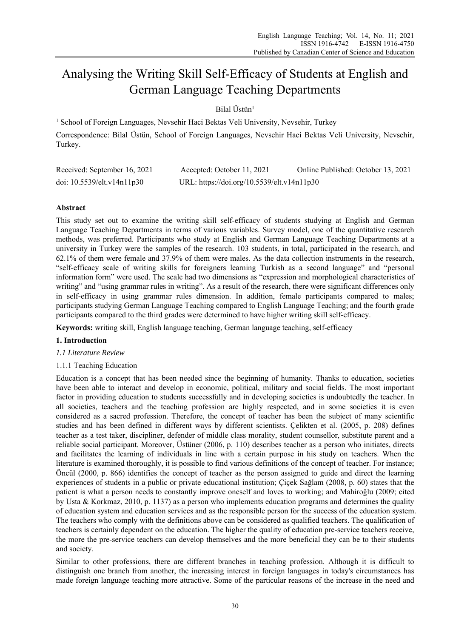# Analysing the Writing Skill Self-Efficacy of Students at English and German Language Teaching Departments

Bilal Üstün1

<sup>1</sup> School of Foreign Languages, Nevsehir Haci Bektas Veli University, Nevsehir, Turkey Correspondence: Bilal Üstün, School of Foreign Languages, Nevsehir Haci Bektas Veli University, Nevsehir, Turkey.

| Received: September 16, 2021     | Accepted: October 11, 2021                 | Online Published: October 13, 2021 |
|----------------------------------|--------------------------------------------|------------------------------------|
| doi: $10.5539$ /elt.v $14n11p30$ | URL: https://doi.org/10.5539/elt.v14n11p30 |                                    |

# **Abstract**

This study set out to examine the writing skill self-efficacy of students studying at English and German Language Teaching Departments in terms of various variables. Survey model, one of the quantitative research methods, was preferred. Participants who study at English and German Language Teaching Departments at a university in Turkey were the samples of the research. 103 students, in total, participated in the research, and 62.1% of them were female and 37.9% of them were males. As the data collection instruments in the research, "self-efficacy scale of writing skills for foreigners learning Turkish as a second language" and "personal information form" were used. The scale had two dimensions as "expression and morphological characteristics of writing" and "using grammar rules in writing". As a result of the research, there were significant differences only in self-efficacy in using grammar rules dimension. In addition, female participants compared to males; participants studying German Language Teaching compared to English Language Teaching; and the fourth grade participants compared to the third grades were determined to have higher writing skill self-efficacy.

**Keywords:** writing skill, English language teaching, German language teaching, self-efficacy

# **1. Introduction**

# *1.1 Literature Review*

# 1.1.1 Teaching Education

Education is a concept that has been needed since the beginning of humanity. Thanks to education, societies have been able to interact and develop in economic, political, military and social fields. The most important factor in providing education to students successfully and in developing societies is undoubtedly the teacher. In all societies, teachers and the teaching profession are highly respected, and in some societies it is even considered as a sacred profession. Therefore, the concept of teacher has been the subject of many scientific studies and has been defined in different ways by different scientists. Çelikten et al. (2005, p. 208) defines teacher as a test taker, discipliner, defender of middle class morality, student counsellor, substitute parent and a reliable social participant. Moreover, Üstüner (2006, p. 110) describes teacher as a person who initiates, directs and facilitates the learning of individuals in line with a certain purpose in his study on teachers. When the literature is examined thoroughly, it is possible to find various definitions of the concept of teacher. For instance; Öncül (2000, p. 866) identifies the concept of teacher as the person assigned to guide and direct the learning experiences of students in a public or private educational institution; Çiçek Sağlam (2008, p. 60) states that the patient is what a person needs to constantly improve oneself and loves to working; and Mahiroğlu (2009; cited by Usta & Korkmaz, 2010, p. 1137) as a person who implements education programs and determines the quality of education system and education services and as the responsible person for the success of the education system. The teachers who comply with the definitions above can be considered as qualified teachers. The qualification of teachers is certainly dependent on the education. The higher the quality of education pre-service teachers receive, the more the pre-service teachers can develop themselves and the more beneficial they can be to their students and society.

Similar to other professions, there are different branches in teaching profession. Although it is difficult to distinguish one branch from another, the increasing interest in foreign languages in today's circumstances has made foreign language teaching more attractive. Some of the particular reasons of the increase in the need and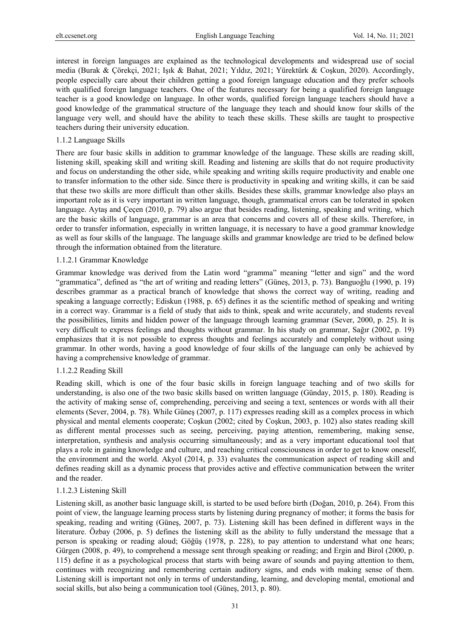interest in foreign languages are explained as the technological developments and widespread use of social media (Burak & Çörekçi, 2021; Işık & Bahat, 2021; Yıldız, 2021; Yürektürk & Coşkun, 2020). Accordingly, people especially care about their children getting a good foreign language education and they prefer schools with qualified foreign language teachers. One of the features necessary for being a qualified foreign language teacher is a good knowledge on language. In other words, qualified foreign language teachers should have a good knowledge of the grammatical structure of the language they teach and should know four skills of the language very well, and should have the ability to teach these skills. These skills are taught to prospective teachers during their university education.

### 1.1.2 Language Skills

There are four basic skills in addition to grammar knowledge of the language. These skills are reading skill, listening skill, speaking skill and writing skill. Reading and listening are skills that do not require productivity and focus on understanding the other side, while speaking and writing skills require productivity and enable one to transfer information to the other side. Since there is productivity in speaking and writing skills, it can be said that these two skills are more difficult than other skills. Besides these skills, grammar knowledge also plays an important role as it is very important in written language, though, grammatical errors can be tolerated in spoken language. Aytaş and Çeçen (2010, p. 79) also argue that besides reading, listening, speaking and writing, which are the basic skills of language, grammar is an area that concerns and covers all of these skills. Therefore, in order to transfer information, especially in written language, it is necessary to have a good grammar knowledge as well as four skills of the language. The language skills and grammar knowledge are tried to be defined below through the information obtained from the literature.

#### 1.1.2.1 Grammar Knowledge

Grammar knowledge was derived from the Latin word "gramma" meaning "letter and sign" and the word "grammatica", defined as "the art of writing and reading letters" (Güneş, 2013, p. 73). Banguoğlu (1990, p. 19) describes grammar as a practical branch of knowledge that shows the correct way of writing, reading and speaking a language correctly; Ediskun (1988, p. 65) defines it as the scientific method of speaking and writing in a correct way. Grammar is a field of study that aids to think, speak and write accurately, and students reveal the possibilities, limits and hidden power of the language through learning grammar (Sever, 2000, p. 25). It is very difficult to express feelings and thoughts without grammar. In his study on grammar, Sağır (2002, p. 19) emphasizes that it is not possible to express thoughts and feelings accurately and completely without using grammar. In other words, having a good knowledge of four skills of the language can only be achieved by having a comprehensive knowledge of grammar.

# 1.1.2.2 Reading Skill

Reading skill, which is one of the four basic skills in foreign language teaching and of two skills for understanding, is also one of the two basic skills based on written language (Günday, 2015, p. 180). Reading is the activity of making sense of, comprehending, perceiving and seeing a text, sentences or words with all their elements (Sever, 2004, p. 78). While Güneş (2007, p. 117) expresses reading skill as a complex process in which physical and mental elements cooperate; Coşkun (2002; cited by Coşkun, 2003, p. 102) also states reading skill as different mental processes such as seeing, perceiving, paying attention, remembering, making sense, interpretation, synthesis and analysis occurring simultaneously; and as a very important educational tool that plays a role in gaining knowledge and culture, and reaching critical consciousness in order to get to know oneself, the environment and the world. Akyol (2014, p. 33) evaluates the communication aspect of reading skill and defines reading skill as a dynamic process that provides active and effective communication between the writer and the reader.

### 1.1.2.3 Listening Skill

Listening skill, as another basic language skill, is started to be used before birth (Doğan, 2010, p. 264). From this point of view, the language learning process starts by listening during pregnancy of mother; it forms the basis for speaking, reading and writing (Güneş, 2007, p. 73). Listening skill has been defined in different ways in the literature. Özbay (2006, p. 5) defines the listening skill as the ability to fully understand the message that a person is speaking or reading aloud; Göğüş (1978, p. 228), to pay attention to understand what one hears; Gürgen (2008, p. 49), to comprehend a message sent through speaking or reading; and Ergin and Birol (2000, p. 115) define it as a psychological process that starts with being aware of sounds and paying attention to them, continues with recognizing and remembering certain auditory signs, and ends with making sense of them. Listening skill is important not only in terms of understanding, learning, and developing mental, emotional and social skills, but also being a communication tool (Güneş, 2013, p. 80).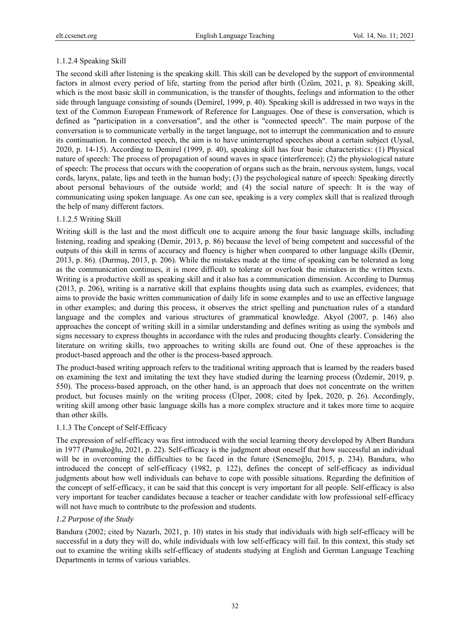# 1.1.2.4 Speaking Skill

The second skill after listening is the speaking skill. This skill can be developed by the support of environmental factors in almost every period of life, starting from the period after birth (Üzüm, 2021, p. 8). Speaking skill, which is the most basic skill in communication, is the transfer of thoughts, feelings and information to the other side through language consisting of sounds (Demirel, 1999, p. 40). Speaking skill is addressed in two ways in the text of the Common European Framework of Reference for Languages. One of these is conversation, which is defined as "participation in a conversation", and the other is "connected speech". The main purpose of the conversation is to communicate verbally in the target language, not to interrupt the communication and to ensure its continuation. In connected speech, the aim is to have uninterrupted speeches about a certain subject (Uysal, 2020, p. 14-15). According to Demirel (1999, p. 40), speaking skill has four basic characteristics: (1) Physical nature of speech: The process of propagation of sound waves in space (interference); (2) the physiological nature of speech: The process that occurs with the cooperation of organs such as the brain, nervous system, lungs, vocal cords, larynx, palate, lips and teeth in the human body; (3) the psychological nature of speech: Speaking directly about personal behaviours of the outside world; and (4) the social nature of speech: It is the way of communicating using spoken language. As one can see, speaking is a very complex skill that is realized through the help of many different factors.

# 1.1.2.5 Writing Skill

Writing skill is the last and the most difficult one to acquire among the four basic language skills, including listening, reading and speaking (Demir, 2013, p. 86) because the level of being competent and successful of the outputs of this skill in terms of accuracy and fluency is higher when compared to other language skills (Demir, 2013, p. 86). (Durmuş, 2013, p. 206). While the mistakes made at the time of speaking can be tolerated as long as the communication continues, it is more difficult to tolerate or overlook the mistakes in the written texts. Writing is a productive skill as speaking skill and it also has a communication dimension. According to Durmuş (2013, p. 206), writing is a narrative skill that explains thoughts using data such as examples, evidences; that aims to provide the basic written communication of daily life in some examples and to use an effective language in other examples; and during this process, it observes the strict spelling and punctuation rules of a standard language and the complex and various structures of grammatical knowledge. Akyol (2007, p. 146) also approaches the concept of writing skill in a similar understanding and defines writing as using the symbols and signs necessary to express thoughts in accordance with the rules and producing thoughts clearly. Considering the literature on writing skills, two approaches to writing skills are found out. One of these approaches is the product-based approach and the other is the process-based approach.

The product-based writing approach refers to the traditional writing approach that is learned by the readers based on examining the text and imitating the text they have studied during the learning process (Özdemir, 2019, p. 550). The process-based approach, on the other hand, is an approach that does not concentrate on the written product, but focuses mainly on the writing process (Ülper, 2008; cited by İpek, 2020, p. 26). Accordingly, writing skill among other basic language skills has a more complex structure and it takes more time to acquire than other skills.

# 1.1.3 The Concept of Self-Efficacy

The expression of self-efficacy was first introduced with the social learning theory developed by Albert Bandura in 1977 (Pamukoğlu, 2021, p. 22). Self-efficacy is the judgment about oneself that how successful an individual will be in overcoming the difficulties to be faced in the future (Senemoğlu, 2015, p. 234). Bandura, who introduced the concept of self-efficacy (1982, p. 122), defines the concept of self-efficacy as individual judgments about how well individuals can behave to cope with possible situations. Regarding the definition of the concept of self-efficacy, it can be said that this concept is very important for all people. Self-efficacy is also very important for teacher candidates because a teacher or teacher candidate with low professional self-efficacy will not have much to contribute to the profession and students.

# *1.2 Purpose of the Study*

Bandura (2002; cited by Nazarlı, 2021, p. 10) states in his study that individuals with high self-efficacy will be successful in a duty they will do, while individuals with low self-efficacy will fail. In this context, this study set out to examine the writing skills self-efficacy of students studying at English and German Language Teaching Departments in terms of various variables.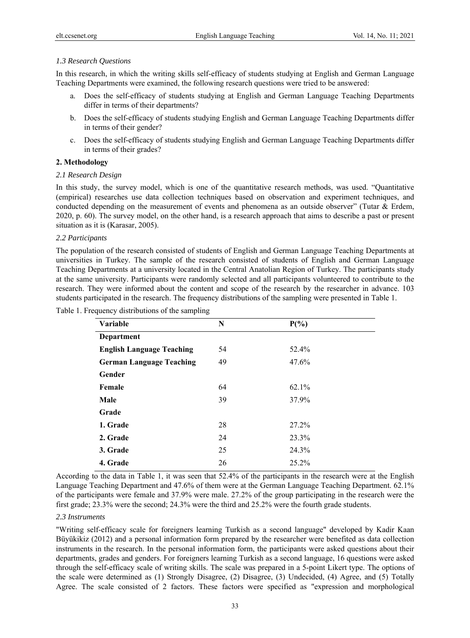## *1.3 Research Questions*

In this research, in which the writing skills self-efficacy of students studying at English and German Language Teaching Departments were examined, the following research questions were tried to be answered:

- a. Does the self-efficacy of students studying at English and German Language Teaching Departments differ in terms of their departments?
- b. Does the self-efficacy of students studying English and German Language Teaching Departments differ in terms of their gender?
- c. Does the self-efficacy of students studying English and German Language Teaching Departments differ in terms of their grades?

# **2. Methodology**

### *2.1 Research Design*

In this study, the survey model, which is one of the quantitative research methods, was used. "Quantitative (empirical) researches use data collection techniques based on observation and experiment techniques, and conducted depending on the measurement of events and phenomena as an outside observer" (Tutar & Erdem, 2020, p. 60). The survey model, on the other hand, is a research approach that aims to describe a past or present situation as it is (Karasar, 2005).

#### *2.2 Participants*

The population of the research consisted of students of English and German Language Teaching Departments at universities in Turkey. The sample of the research consisted of students of English and German Language Teaching Departments at a university located in the Central Anatolian Region of Turkey. The participants study at the same university. Participants were randomly selected and all participants volunteered to contribute to the research. They were informed about the content and scope of the research by the researcher in advance. 103 students participated in the research. The frequency distributions of the sampling were presented in Table 1.

|  | Table 1. Frequency distributions of the sampling |  |
|--|--------------------------------------------------|--|
|  |                                                  |  |

| <b>Variable</b>                  | N  | $P(\%)$ |  |
|----------------------------------|----|---------|--|
| Department                       |    |         |  |
| <b>English Language Teaching</b> | 54 | 52.4%   |  |
| <b>German Language Teaching</b>  | 49 | 47.6%   |  |
| Gender                           |    |         |  |
| Female                           | 64 | 62.1%   |  |
| Male                             | 39 | 37.9%   |  |
| Grade                            |    |         |  |
| 1. Grade                         | 28 | 27.2%   |  |
| 2. Grade                         | 24 | 23.3%   |  |
| 3. Grade                         | 25 | 24.3%   |  |
| 4. Grade                         | 26 | 25.2%   |  |

According to the data in Table 1, it was seen that 52.4% of the participants in the research were at the English Language Teaching Department and 47.6% of them were at the German Language Teaching Department. 62.1% of the participants were female and 37.9% were male. 27.2% of the group participating in the research were the first grade; 23.3% were the second; 24.3% were the third and 25.2% were the fourth grade students.

# *2.3 Instruments*

"Writing self-efficacy scale for foreigners learning Turkish as a second language" developed by Kadir Kaan Büyükikiz (2012) and a personal information form prepared by the researcher were benefited as data collection instruments in the research. In the personal information form, the participants were asked questions about their departments, grades and genders. For foreigners learning Turkish as a second language, 16 questions were asked through the self-efficacy scale of writing skills. The scale was prepared in a 5-point Likert type. The options of the scale were determined as (1) Strongly Disagree, (2) Disagree, (3) Undecided, (4) Agree, and (5) Totally Agree. The scale consisted of 2 factors. These factors were specified as "expression and morphological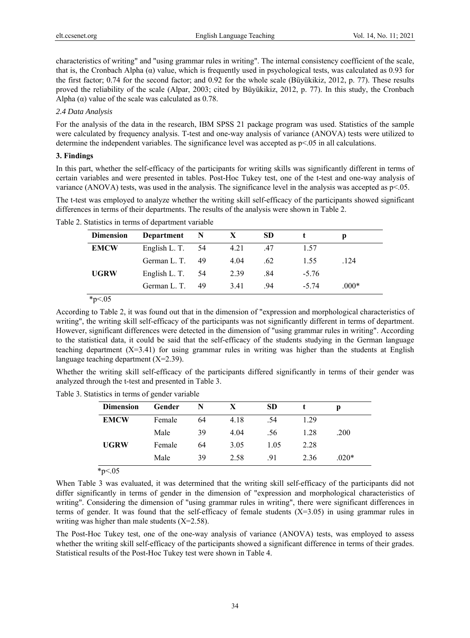characteristics of writing" and "using grammar rules in writing". The internal consistency coefficient of the scale, that is, the Cronbach Alpha  $(\alpha)$  value, which is frequently used in psychological tests, was calculated as 0.93 for the first factor; 0.74 for the second factor; and 0.92 for the whole scale (Büyükikiz, 2012, p. 77). These results proved the reliability of the scale (Alpar, 2003; cited by Büyükikiz, 2012, p. 77). In this study, the Cronbach Alpha  $(\alpha)$  value of the scale was calculated as 0.78.

### *2.4 Data Analysis*

For the analysis of the data in the research, IBM SPSS 21 package program was used. Statistics of the sample were calculated by frequency analysis. T-test and one-way analysis of variance (ANOVA) tests were utilized to determine the independent variables. The significance level was accepted as p<.05 in all calculations.

## **3. Findings**

In this part, whether the self-efficacy of the participants for writing skills was significantly different in terms of certain variables and were presented in tables. Post-Hoc Tukey test, one of the t-test and one-way analysis of variance (ANOVA) tests, was used in the analysis. The significance level in the analysis was accepted as p<.05.

The t-test was employed to analyze whether the writing skill self-efficacy of the participants showed significant differences in terms of their departments. The results of the analysis were shown in Table 2.

| <b>Dimension</b> | Department         | N    | X    | <b>SD</b> |         |         |  |
|------------------|--------------------|------|------|-----------|---------|---------|--|
| <b>EMCW</b>      | English L. T. $54$ |      | 4.21 | .47       | 1.57    |         |  |
|                  | German L. T.       | 49   | 4.04 | .62       | 1.55    | .124    |  |
| <b>UGRW</b>      | English L. T.      | - 54 | 2.39 | .84       | $-5.76$ |         |  |
|                  | German L. T.       | 49   | 3.41 | .94       | $-5.74$ | $.000*$ |  |

Table 2. Statistics in terms of department variable

 $*_{p<.05}$ 

According to Table 2, it was found out that in the dimension of "expression and morphological characteristics of writing", the writing skill self-efficacy of the participants was not significantly different in terms of department. However, significant differences were detected in the dimension of "using grammar rules in writing". According to the statistical data, it could be said that the self-efficacy of the students studying in the German language teaching department  $(X=3.41)$  for using grammar rules in writing was higher than the students at English language teaching department  $(X=2.39)$ .

Whether the writing skill self-efficacy of the participants differed significantly in terms of their gender was analyzed through the t-test and presented in Table 3.

Table 3. Statistics in terms of gender variable

| <b>Dimension</b> | Gender | N  | X    | <b>SD</b> |      |         |
|------------------|--------|----|------|-----------|------|---------|
| <b>EMCW</b>      | Female | 64 | 4.18 | .54       | 1.29 |         |
|                  | Male   | 39 | 4.04 | .56       | 1.28 | .200    |
| <b>UGRW</b>      | Female | 64 | 3.05 | 1.05      | 2.28 |         |
|                  | Male   | 39 | 2.58 | .91       | 2.36 | $.020*$ |

\*p<.05

When Table 3 was evaluated, it was determined that the writing skill self-efficacy of the participants did not differ significantly in terms of gender in the dimension of "expression and morphological characteristics of writing". Considering the dimension of "using grammar rules in writing", there were significant differences in terms of gender. It was found that the self-efficacy of female students (X=3.05) in using grammar rules in writing was higher than male students  $(X=2.58)$ .

The Post-Hoc Tukey test, one of the one-way analysis of variance (ANOVA) tests, was employed to assess whether the writing skill self-efficacy of the participants showed a significant difference in terms of their grades. Statistical results of the Post-Hoc Tukey test were shown in Table 4.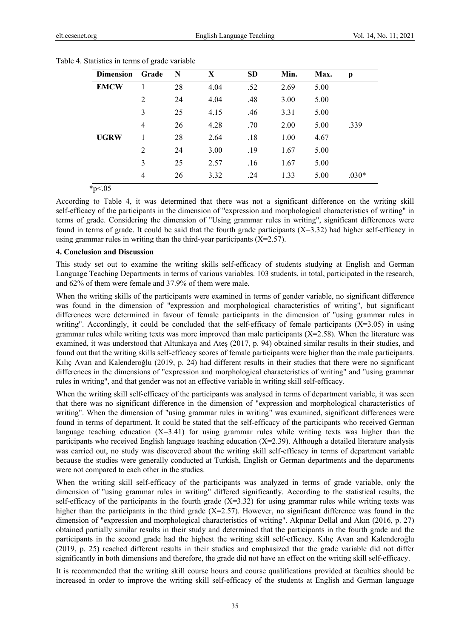| <b>Dimension</b> | Grade | N  | X    | <b>SD</b> | Min. | Max. | p       |
|------------------|-------|----|------|-----------|------|------|---------|
| <b>EMCW</b>      |       | 28 | 4.04 | .52       | 2.69 | 5.00 |         |
|                  | 2     | 24 | 4.04 | .48       | 3.00 | 5.00 |         |
|                  | 3     | 25 | 4.15 | .46       | 3.31 | 5.00 |         |
|                  | 4     | 26 | 4.28 | .70       | 2.00 | 5.00 | .339    |
| <b>UGRW</b>      |       | 28 | 2.64 | .18       | 1.00 | 4.67 |         |
|                  | 2     | 24 | 3.00 | .19       | 1.67 | 5.00 |         |
|                  | 3     | 25 | 2.57 | .16       | 1.67 | 5.00 |         |
|                  | 4     | 26 | 3.32 | .24       | 1.33 | 5.00 | $.030*$ |

| Table 4. Statistics in terms of grade variable |  |  |  |
|------------------------------------------------|--|--|--|
|                                                |  |  |  |

 $*_{p<.05}$ 

According to Table 4, it was determined that there was not a significant difference on the writing skill self-efficacy of the participants in the dimension of "expression and morphological characteristics of writing" in terms of grade. Considering the dimension of "Using grammar rules in writing", significant differences were found in terms of grade. It could be said that the fourth grade participants  $(X=3.32)$  had higher self-efficacy in using grammar rules in writing than the third-year participants  $(X=2.57)$ .

#### **4. Conclusion and Discussion**

This study set out to examine the writing skills self-efficacy of students studying at English and German Language Teaching Departments in terms of various variables. 103 students, in total, participated in the research, and 62% of them were female and 37.9% of them were male.

When the writing skills of the participants were examined in terms of gender variable, no significant difference was found in the dimension of "expression and morphological characteristics of writing", but significant differences were determined in favour of female participants in the dimension of "using grammar rules in writing". Accordingly, it could be concluded that the self-efficacy of female participants  $(X=3.05)$  in using grammar rules while writing texts was more improved than male participants  $(X=2.58)$ . When the literature was examined, it was understood that Altunkaya and Ateş (2017, p. 94) obtained similar results in their studies, and found out that the writing skills self-efficacy scores of female participants were higher than the male participants. Kılıç Avan and Kalenderoğlu (2019, p. 24) had different results in their studies that there were no significant differences in the dimensions of "expression and morphological characteristics of writing" and "using grammar rules in writing", and that gender was not an effective variable in writing skill self-efficacy.

When the writing skill self-efficacy of the participants was analysed in terms of department variable, it was seen that there was no significant difference in the dimension of "expression and morphological characteristics of writing". When the dimension of "using grammar rules in writing" was examined, significant differences were found in terms of department. It could be stated that the self-efficacy of the participants who received German language teaching education  $(X=3.41)$  for using grammar rules while writing texts was higher than the participants who received English language teaching education  $(X=2.39)$ . Although a detailed literature analysis was carried out, no study was discovered about the writing skill self-efficacy in terms of department variable because the studies were generally conducted at Turkish, English or German departments and the departments were not compared to each other in the studies.

When the writing skill self-efficacy of the participants was analyzed in terms of grade variable, only the dimension of "using grammar rules in writing" differed significantly. According to the statistical results, the self-efficacy of the participants in the fourth grade  $(X=3.32)$  for using grammar rules while writing texts was higher than the participants in the third grade  $(X=2.57)$ . However, no significant difference was found in the dimension of "expression and morphological characteristics of writing". Akpınar Dellal and Akın (2016, p. 27) obtained partially similar results in their study and determined that the participants in the fourth grade and the participants in the second grade had the highest the writing skill self-efficacy. Kılıç Avan and Kalenderoğlu (2019, p. 25) reached different results in their studies and emphasized that the grade variable did not differ significantly in both dimensions and therefore, the grade did not have an effect on the writing skill self-efficacy.

It is recommended that the writing skill course hours and course qualifications provided at faculties should be increased in order to improve the writing skill self-efficacy of the students at English and German language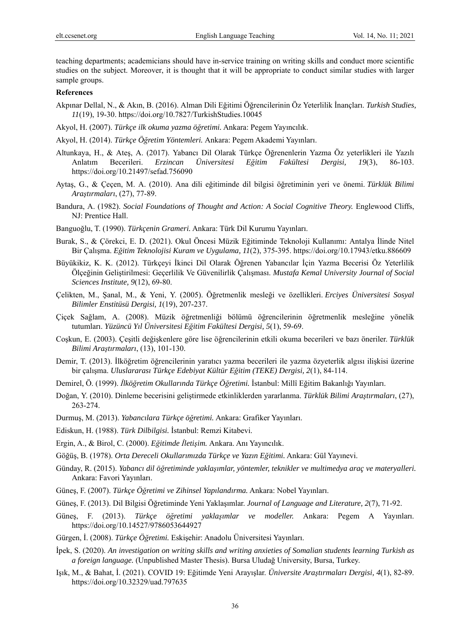teaching departments; academicians should have in-service training on writing skills and conduct more scientific studies on the subject. Moreover, it is thought that it will be appropriate to conduct similar studies with larger sample groups.

## **References**

- Akpınar Dellal, N., & Akın, B. (2016). Alman Dili Eğitimi Öğrencilerinin Öz Yeterlilik İnançları. *Turkish Studies, 11*(19), 19-30. https://doi.org/10.7827/TurkishStudies.10045
- Akyol, H. (2007). *Türkçe ilk okuma yazma öğretimi.* Ankara: Pegem Yayıncılık.
- Akyol, H. (2014). *Türkçe Öğretim Yöntemleri.* Ankara: Pegem Akademi Yayınları.
- Altunkaya, H., & Ateş, A. (2017). Yabancı Dil Olarak Türkçe Öğrenenlerin Yazma Öz yeterlikleri ile Yazılı Anlatım Becerileri. *Erzincan Üniversitesi Eğitim Fakültesi Dergisi, 19*(3), 86-103. https://doi.org/10.21497/sefad.756090
- Aytaş, G., & Çeçen, M. A. (2010). Ana dili eğitiminde dil bilgisi öğretiminin yeri ve önemi. *Türklük Bilimi Araştırmaları*, (27), 77-89.
- Bandura, A. (1982). *Social Foundations of Thought and Action: A Social Cognitive Theory.* Englewood Cliffs, NJ: Prentice Hall.
- Banguoğlu, T. (1990). *Türkçenin Grameri.* Ankara: Türk Dil Kurumu Yayınları.
- Burak, S., & Çörekci, E. D. (2021). Okul Öncesi Müzik Eğitiminde Teknoloji Kullanımı: Antalya İlinde Nitel Bir Çalışma. *Eğitim Teknolojisi Kuram ve Uygulama, 11*(2), 375-395. https://doi.org/10.17943/etku.886609
- Büyükikiz, K. K. (2012). Türkçeyi İkinci Dil Olarak Öğrenen Yabancılar İçin Yazma Becerisi Öz Yeterlilik Ölçeğinin Geliştirilmesi: Geçerlilik Ve Güvenilirlik Çalışması. *Mustafa Kemal University Journal of Social Sciences Institute, 9*(12), 69-80.
- Çelikten, M., Şanal, M., & Yeni, Y. (2005). Öğretmenlik mesleği ve özellikleri. *Erciyes Üniversitesi Sosyal Bilimler Enstitüsü Dergisi, 1*(19), 207-237.
- Çiçek Sağlam, A. (2008). Müzik öğretmenliği bölümü öğrencilerinin öğretmenlik mesleğine yönelik tutumları. *Yüzüncü Yıl Üniversitesi Eğitim Fakültesi Dergisi, 5*(1), 59-69.
- Coşkun, E. (2003). Çeşitli değişkenlere göre lise öğrencilerinin etkili okuma becerileri ve bazı öneriler. *Türklük Bilimi Araştırmaları*, (13), 101-130.
- Demir, T. (2013). İlköğretim öğrencilerinin yaratıcı yazma becerileri ile yazma özyeterlik algısı ilişkisi üzerine bir çalışma. *Uluslararası Türkçe Edebiyat Kültür Eğitim (TEKE) Dergisi, 2*(1), 84-114.
- Demirel, Ö. (1999). *İlköğretim Okullarında Türkçe Öğretimi.* İstanbul: Millî Eğitim Bakanlığı Yayınları.
- Doğan, Y. (2010). Dinleme becerisini geliştirmede etkinliklerden yararlanma. *Türklük Bilimi Araştırmaları*, (27), 263-274.
- Durmuş, M. (2013). *Yabancılara Türkçe öğretimi.* Ankara: Grafiker Yayınları.
- Ediskun, H. (1988). *Türk Dilbilgisi.* İstanbul: Remzi Kitabevi.
- Ergin, A., & Birol, C. (2000). *Eğitimde İletişim.* Ankara. Anı Yayıncılık.
- Göğüş, B. (1978). *Orta Dereceli Okullarımızda Türkçe ve Yazın Eğitimi.* Ankara: Gül Yayınevi.
- Günday, R. (2015). *Yabancı dil öğretiminde yaklaşımlar, yöntemler, teknikler ve multimedya araç ve materyalleri.* Ankara: Favori Yayınları.
- Güneş, F. (2007). *Türkçe Öğretimi ve Zihinsel Yapılandırma.* Ankara: Nobel Yayınları.
- Güneş, F. (2013). Dil Bilgisi Öğretiminde Yeni Yaklaşımlar. *Journal of Language and Literature, 2*(7), 71-92.
- Güneş, F. (2013). *Türkçe öğretimi yaklaşımlar ve modeller.* Ankara: Pegem A Yayınları. https://doi.org/10.14527/9786053644927
- Gürgen, İ. (2008). *Türkçe Öğretimi.* Eskişehir: Anadolu Üniversitesi Yayınları.
- İpek, S. (2020). *An investigation on writing skills and writing anxieties of Somalian students learning Turkish as a foreign language.* (Unpublished Master Thesis). Bursa Uludağ University, Bursa, Turkey.
- Işık, M., & Bahat, İ. (2021). COVID 19: Eğitimde Yeni Arayışlar. *Üniversite Araştırmaları Dergisi, 4*(1), 82-89. https://doi.org/10.32329/uad.797635